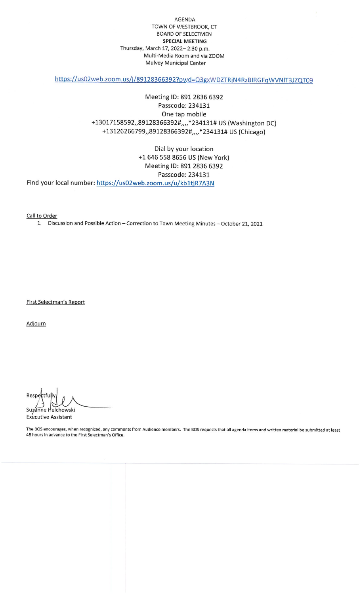AGENDA TOWN OF WESTBROOK/ CTBOARD OF SELECTMENSPECIAL MEETING Thursday, March 17, 2022-2:30 p.m. Multi-Medla Room and via ZOOMMulvey Municipal Center

https://us02web.zoom.us/j/89128366392?pwd=Q3gxWDZTRjN4RzBIRGFqWVNlT3JZQT09

## Meeting ID: 891 2836 6392Passcode: 234131One tap mobile+13017158592,,89128366392#,,,,\*234131# US (Washington DC) +13126266799,,89128366392#,,,,\*234131# US (Chicago)

Dial by your location +1 646 558 8656 US (New York)Meeting ID: 891 2836 6392Passcode: 234131Find your local number: https://us02web.zoom.us/u/kb1tjR7A3

<u>Call to Orde</u>

1. Discussion and Possible Action - Correction to Town Meeting Minutes - October 21, 2021

<u>First Selectman's Rep</u>

Adjourn

 $\frac{1}{2}$ Respectfully<br>Suzanne Helchowski

/ Executive Assistant

The BOS encourages, when recognized, any comments from Audience members. The BOS requests that all agenda items and written material be submitted at least48 hours in advance to the First Selectman's Office.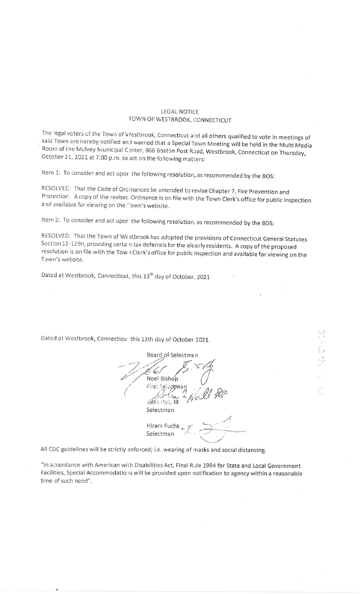## **LEGAL NOTICE TOWN OF WESTBROOK, CONNECTICUT**

The legal voters of the Town of Westbrook, Connecticut and all others qualified to vote in meetings of said Town are hereby notified and warned that a Special Town Meeting will be held in the Multi Media Room of the Mulvey Municipal Center, 866 Boston Post Road, Westbrook, Connecticut on Thursday, October 21, 2021 at 7:00 p.m. to act on the following matters:

Item 1: To consider and act upor the following resolution, as recommended by the BOS:

RESOLVED: That the Code of Orcinances be amended to revise Chapter 7, Fire Prevention and Protection. A copy of the revised Ordinance is on file with the Town Clerk's office for public inspection and available for viewing on the Town's website.

Item 2: To consider and act upon the following resolution, as recommended by the BOS:

RESOLVED: That the Town of We stbrook has adopted the provisions of Connecticut General Statutes Section 12-129n, providing certain tax deferrals for the elderly residents. A copy of the proposed resolution is on file with the Town Clerk's office for public inspection and available for viewing on the Town's website.

Dated at Westbrook, Connecticut, this 13<sup>th</sup> day of October, 2021

Dated at Westbrook, Connecticut this 13th day of October 2021.

Board of Selectmen Noel Bishop First Selectman Jehn Hall, Ill Selectman Hiram Fuchs Selectman

All CDC guidelines will be strictly enforced; i.e. wearing of masks and social distancing.

"In accordance with American with Disabilities Act, Final Rule 1994 for State and Local Government Facilities, Special Accommodations will be provided upon notification to agency within a reasonable time of such need".